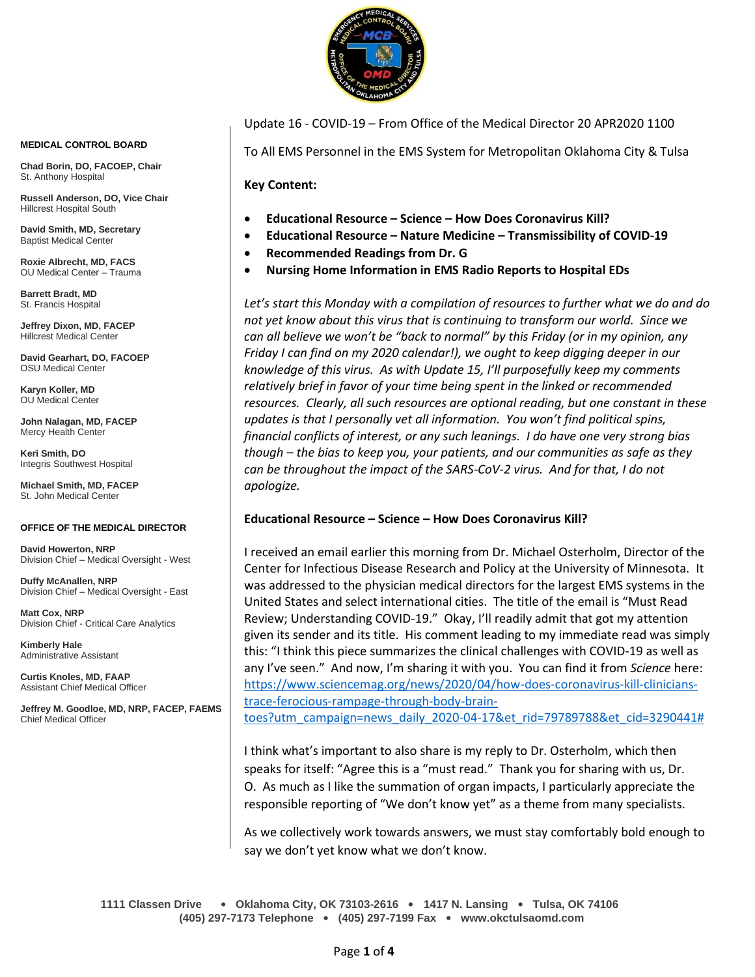

**MEDICAL CONTROL BOARD**

**Chad Borin, DO, FACOEP, Chair**  St. Anthony Hospital

**Russell Anderson, DO, Vice Chair** Hillcrest Hospital South

**David Smith, MD, Secretary** Baptist Medical Center

**Roxie Albrecht, MD, FACS** OU Medical Center – Trauma

**Barrett Bradt, MD** St. Francis Hospital

**Jeffrey Dixon, MD, FACEP** Hillcrest Medical Center

**David Gearhart, DO, FACOEP** OSU Medical Center

**Karyn Koller, MD** OU Medical Center

**John Nalagan, MD, FACEP** Mercy Health Center

**Keri Smith, DO** Integris Southwest Hospital

**Michael Smith, MD, FACEP** St. John Medical Center

#### **OFFICE OF THE MEDICAL DIRECTOR**

**David Howerton, NRP** Division Chief – Medical Oversight - West

**Duffy McAnallen, NRP** Division Chief – Medical Oversight - East

**Matt Cox, NRP** Division Chief - Critical Care Analytics

**Kimberly Hale** Administrative Assistant

**Curtis Knoles, MD, FAAP** Assistant Chief Medical Officer

**Jeffrey M. Goodloe, MD, NRP, FACEP, FAEMS** Chief Medical Officer

Update 16 - COVID-19 – From Office of the Medical Director 20 APR2020 1100

To All EMS Personnel in the EMS System for Metropolitan Oklahoma City & Tulsa

**Key Content:**

- **Educational Resource – Science – How Does Coronavirus Kill?**
- **Educational Resource – Nature Medicine – Transmissibility of COVID-19**
- **Recommended Readings from Dr. G**
- **Nursing Home Information in EMS Radio Reports to Hospital EDs**

*Let's start this Monday with a compilation of resources to further what we do and do not yet know about this virus that is continuing to transform our world. Since we can all believe we won't be "back to normal" by this Friday (or in my opinion, any Friday I can find on my 2020 calendar!), we ought to keep digging deeper in our knowledge of this virus. As with Update 15, I'll purposefully keep my comments relatively brief in favor of your time being spent in the linked or recommended resources. Clearly, all such resources are optional reading, but one constant in these updates is that I personally vet all information. You won't find political spins, financial conflicts of interest, or any such leanings. I do have one very strong bias though – the bias to keep you, your patients, and our communities as safe as they can be throughout the impact of the SARS-CoV-2 virus. And for that, I do not apologize.*

## **Educational Resource – Science – How Does Coronavirus Kill?**

I received an email earlier this morning from Dr. Michael Osterholm, Director of the Center for Infectious Disease Research and Policy at the University of Minnesota. It was addressed to the physician medical directors for the largest EMS systems in the United States and select international cities. The title of the email is "Must Read Review; Understanding COVID-19." Okay, I'll readily admit that got my attention given its sender and its title. His comment leading to my immediate read was simply this: "I think this piece summarizes the clinical challenges with COVID-19 as well as any I've seen." And now, I'm sharing it with you. You can find it from *Science* here: [https://www.sciencemag.org/news/2020/04/how-does-coronavirus-kill-clinicians](https://www.sciencemag.org/news/2020/04/how-does-coronavirus-kill-clinicians-trace-ferocious-rampage-through-body-brain-toes?utm_campaign=news_daily_2020-04-17&et_rid=79789788&et_cid=3290441)[trace-ferocious-rampage-through-body-brain-](https://www.sciencemag.org/news/2020/04/how-does-coronavirus-kill-clinicians-trace-ferocious-rampage-through-body-brain-toes?utm_campaign=news_daily_2020-04-17&et_rid=79789788&et_cid=3290441)

[toes?utm\\_campaign=news\\_daily\\_2020-04-17&et\\_rid=79789788&et\\_cid=3290441#](https://www.sciencemag.org/news/2020/04/how-does-coronavirus-kill-clinicians-trace-ferocious-rampage-through-body-brain-toes?utm_campaign=news_daily_2020-04-17&et_rid=79789788&et_cid=3290441)

I think what's important to also share is my reply to Dr. Osterholm, which then speaks for itself: "Agree this is a "must read." Thank you for sharing with us, Dr. O. As much as I like the summation of organ impacts, I particularly appreciate the responsible reporting of "We don't know yet" as a theme from many specialists.

As we collectively work towards answers, we must stay comfortably bold enough to say we don't yet know what we don't know.

**1111 Classen Drive** • **Oklahoma City, OK 73103-2616** • **1417 N. Lansing** • **Tulsa, OK 74106 (405) 297-7173 Telephone** • **(405) 297-7199 Fax** • **www.okctulsaomd.com**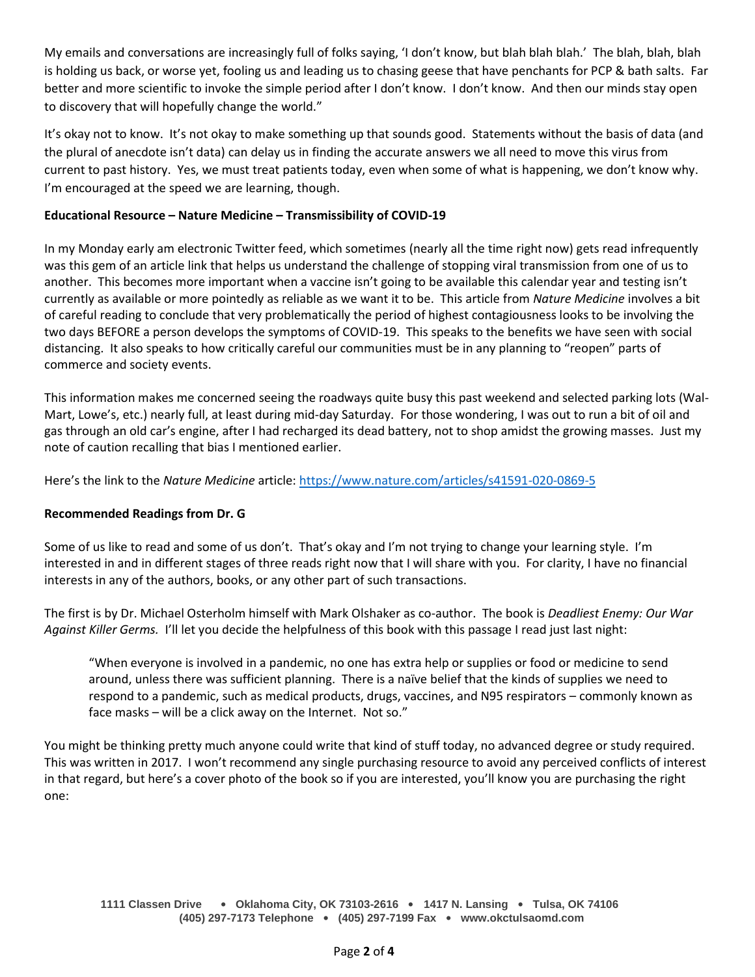My emails and conversations are increasingly full of folks saying, 'I don't know, but blah blah blah.' The blah, blah, blah is holding us back, or worse yet, fooling us and leading us to chasing geese that have penchants for PCP & bath salts. Far better and more scientific to invoke the simple period after I don't know. I don't know. And then our minds stay open to discovery that will hopefully change the world."

It's okay not to know. It's not okay to make something up that sounds good. Statements without the basis of data (and the plural of anecdote isn't data) can delay us in finding the accurate answers we all need to move this virus from current to past history. Yes, we must treat patients today, even when some of what is happening, we don't know why. I'm encouraged at the speed we are learning, though.

## **Educational Resource – Nature Medicine – Transmissibility of COVID-19**

In my Monday early am electronic Twitter feed, which sometimes (nearly all the time right now) gets read infrequently was this gem of an article link that helps us understand the challenge of stopping viral transmission from one of us to another. This becomes more important when a vaccine isn't going to be available this calendar year and testing isn't currently as available or more pointedly as reliable as we want it to be. This article from *Nature Medicine* involves a bit of careful reading to conclude that very problematically the period of highest contagiousness looks to be involving the two days BEFORE a person develops the symptoms of COVID-19. This speaks to the benefits we have seen with social distancing. It also speaks to how critically careful our communities must be in any planning to "reopen" parts of commerce and society events.

This information makes me concerned seeing the roadways quite busy this past weekend and selected parking lots (Wal-Mart, Lowe's, etc.) nearly full, at least during mid-day Saturday. For those wondering, I was out to run a bit of oil and gas through an old car's engine, after I had recharged its dead battery, not to shop amidst the growing masses. Just my note of caution recalling that bias I mentioned earlier.

Here's the link to the *Nature Medicine* article[: https://www.nature.com/articles/s41591-020-0869-5](https://www.nature.com/articles/s41591-020-0869-5)

## **Recommended Readings from Dr. G**

Some of us like to read and some of us don't. That's okay and I'm not trying to change your learning style. I'm interested in and in different stages of three reads right now that I will share with you. For clarity, I have no financial interests in any of the authors, books, or any other part of such transactions.

The first is by Dr. Michael Osterholm himself with Mark Olshaker as co-author. The book is *Deadliest Enemy: Our War Against Killer Germs.* I'll let you decide the helpfulness of this book with this passage I read just last night:

"When everyone is involved in a pandemic, no one has extra help or supplies or food or medicine to send around, unless there was sufficient planning. There is a naïve belief that the kinds of supplies we need to respond to a pandemic, such as medical products, drugs, vaccines, and N95 respirators – commonly known as face masks – will be a click away on the Internet. Not so."

You might be thinking pretty much anyone could write that kind of stuff today, no advanced degree or study required. This was written in 2017. I won't recommend any single purchasing resource to avoid any perceived conflicts of interest in that regard, but here's a cover photo of the book so if you are interested, you'll know you are purchasing the right one: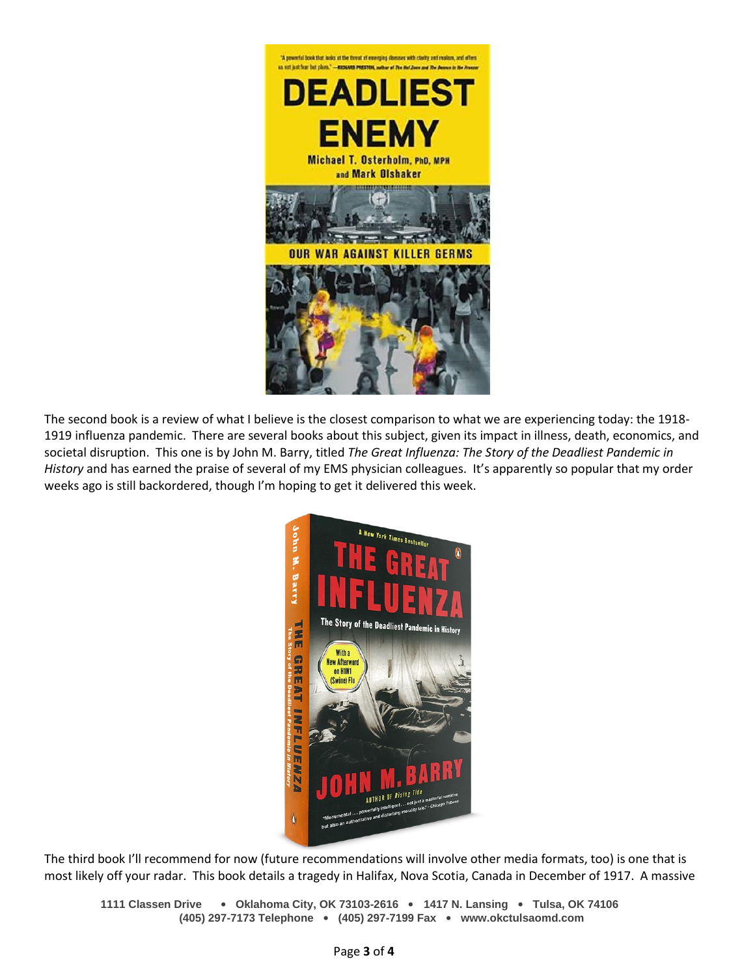

The second book is a review of what I believe is the closest comparison to what we are experiencing today: the 1918- 1919 influenza pandemic. There are several books about this subject, given its impact in illness, death, economics, and societal disruption. This one is by John M. Barry, titled *The Great Influenza: The Story of the Deadliest Pandemic in History* and has earned the praise of several of my EMS physician colleagues. It's apparently so popular that my order weeks ago is still backordered, though I'm hoping to get it delivered this week.



The third book I'll recommend for now (future recommendations will involve other media formats, too) is one that is most likely off your radar. This book details a tragedy in Halifax, Nova Scotia, Canada in December of 1917. A massive

**1111 Classen Drive** • **Oklahoma City, OK 73103-2616** • **1417 N. Lansing** • **Tulsa, OK 74106 (405) 297-7173 Telephone** • **(405) 297-7199 Fax** • **www.okctulsaomd.com**